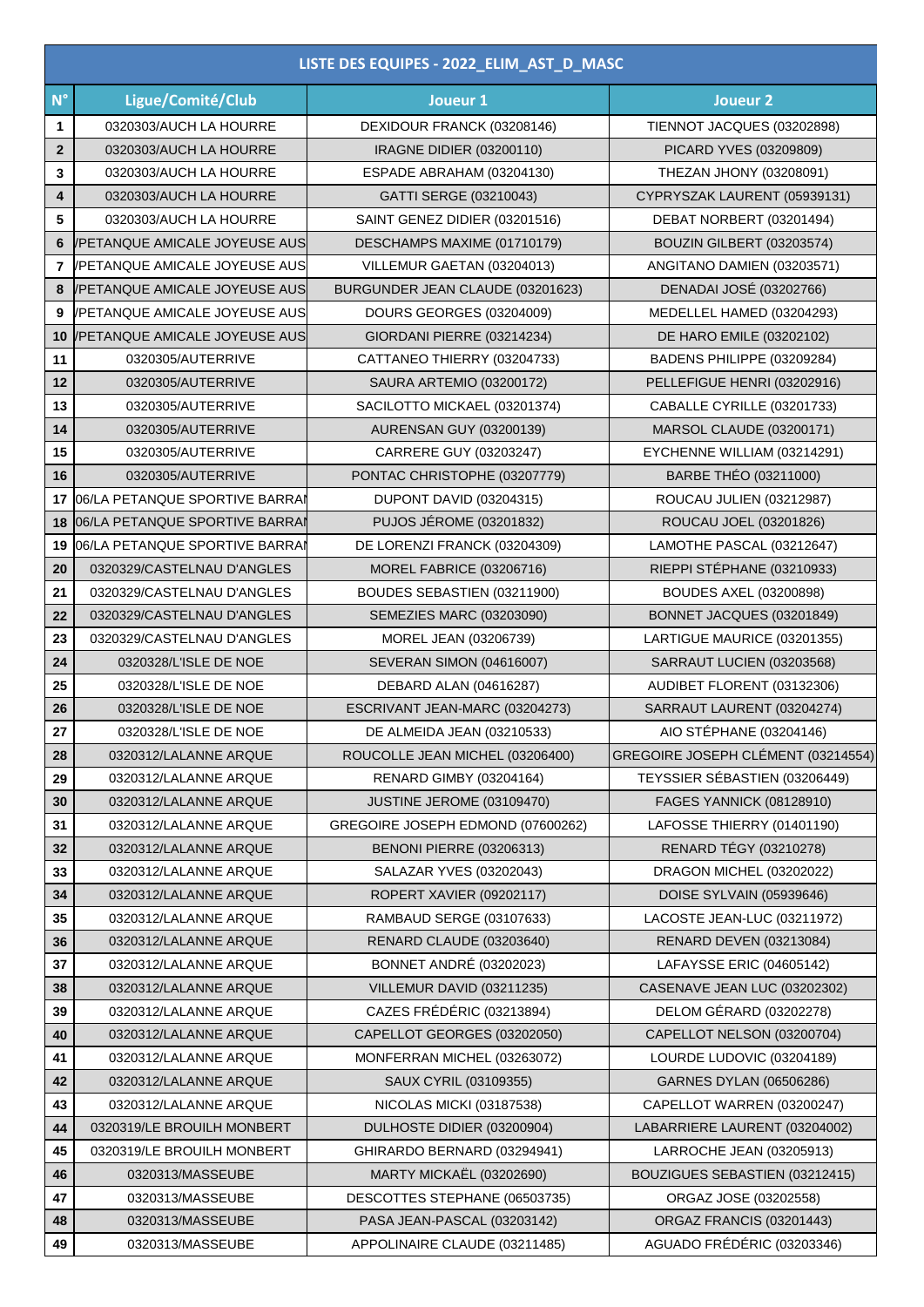| LISTE DES EQUIPES - 2022_ELIM_AST_D_MASC |                                |                                   |                                    |  |
|------------------------------------------|--------------------------------|-----------------------------------|------------------------------------|--|
| $N^{\circ}$                              | Ligue/Comité/Club              | Joueur 1                          | Joueur <sub>2</sub>                |  |
| $\mathbf{1}$                             | 0320303/AUCH LA HOURRE         | DEXIDOUR FRANCK (03208146)        | TIENNOT JACQUES (03202898)         |  |
| $\mathbf{2}$                             | 0320303/AUCH LA HOURRE         | <b>IRAGNE DIDIER (03200110)</b>   | PICARD YVES (03209809)             |  |
| 3                                        | 0320303/AUCH LA HOURRE         | ESPADE ABRAHAM (03204130)         | THEZAN JHONY (03208091)            |  |
| 4                                        | 0320303/AUCH LA HOURRE         | GATTI SERGE (03210043)            | CYPRYSZAK LAURENT (05939131)       |  |
| 5                                        | 0320303/AUCH LA HOURRE         | SAINT GENEZ DIDIER (03201516)     | DEBAT NORBERT (03201494)           |  |
| 6                                        | /PETANQUE AMICALE JOYEUSE AUS  | DESCHAMPS MAXIME (01710179)       | BOUZIN GILBERT (03203574)          |  |
| 7                                        | /PETANQUE AMICALE JOYEUSE AUS  | VILLEMUR GAETAN (03204013)        | ANGITANO DAMIEN (03203571)         |  |
| 8                                        | /PETANQUE AMICALE JOYEUSE AUS  | BURGUNDER JEAN CLAUDE (03201623)  | DENADAI JOSÉ (03202766)            |  |
| 9                                        | /PETANQUE AMICALE JOYEUSE AUS  | DOURS GEORGES (03204009)          | MEDELLEL HAMED (03204293)          |  |
| 10                                       | /PETANQUE AMICALE JOYEUSE AUS  | GIORDANI PIERRE (03214234)        | DE HARO EMILE (03202102)           |  |
| 11                                       | 0320305/AUTERRIVE              | CATTANEO THIERRY (03204733)       | BADENS PHILIPPE (03209284)         |  |
| 12                                       | 0320305/AUTERRIVE              | SAURA ARTEMIO (03200172)          | PELLEFIGUE HENRI (03202916)        |  |
| 13                                       | 0320305/AUTERRIVE              | SACILOTTO MICKAEL (03201374)      | CABALLE CYRILLE (03201733)         |  |
| 14                                       | 0320305/AUTERRIVE              | <b>AURENSAN GUY (03200139)</b>    | MARSOL CLAUDE (03200171)           |  |
| 15                                       | 0320305/AUTERRIVE              | CARRERE GUY (03203247)            | EYCHENNE WILLIAM (03214291)        |  |
| 16                                       | 0320305/AUTERRIVE              | PONTAC CHRISTOPHE (03207779)      | <b>BARBE THÉO (03211000)</b>       |  |
| 17                                       | 06/LA PETANQUE SPORTIVE BARRAI | DUPONT DAVID (03204315)           | ROUCAU JULIEN (03212987)           |  |
| 18                                       | 06/LA PETANQUE SPORTIVE BARRAI | <b>PUJOS JÉROME (03201832)</b>    | ROUCAU JOEL (03201826)             |  |
| 19                                       | 06/LA PETANQUE SPORTIVE BARRAI | DE LORENZI FRANCK (03204309)      | LAMOTHE PASCAL (03212647)          |  |
| 20                                       | 0320329/CASTELNAU D'ANGLES     | MOREL FABRICE (03206716)          | RIEPPI STÉPHANE (03210933)         |  |
| 21                                       | 0320329/CASTELNAU D'ANGLES     | BOUDES SEBASTIEN (03211900)       | <b>BOUDES AXEL (03200898)</b>      |  |
| 22                                       | 0320329/CASTELNAU D'ANGLES     | SEMEZIES MARC (03203090)          | BONNET JACQUES (03201849)          |  |
| 23                                       | 0320329/CASTELNAU D'ANGLES     | MOREL JEAN (03206739)             | LARTIGUE MAURICE (03201355)        |  |
| 24                                       | 0320328/L'ISLE DE NOE          | <b>SEVERAN SIMON (04616007)</b>   | SARRAUT LUCIEN (03203568)          |  |
| 25                                       | 0320328/L'ISLE DE NOE          | DEBARD ALAN (04616287)            | AUDIBET FLORENT (03132306)         |  |
| 26                                       | 0320328/L'ISLE DE NOE          | ESCRIVANT JEAN-MARC (03204273)    | SARRAUT LAURENT (03204274)         |  |
| 27                                       | 0320328/L'ISLE DE NOE          | DE ALMEIDA JEAN (03210533)        | AIO STÉPHANE (03204146)            |  |
| 28                                       | 0320312/LALANNE ARQUE          | ROUCOLLE JEAN MICHEL (03206400)   | GREGOIRE JOSEPH CLÉMENT (03214554) |  |
| 29                                       | 0320312/LALANNE ARQUE          | <b>RENARD GIMBY (03204164)</b>    | TEYSSIER SÉBASTIEN (03206449)      |  |
| 30                                       | 0320312/LALANNE ARQUE          | JUSTINE JEROME (03109470)         | <b>FAGES YANNICK (08128910)</b>    |  |
| 31                                       | 0320312/LALANNE ARQUE          | GREGOIRE JOSEPH EDMOND (07600262) | LAFOSSE THIERRY (01401190)         |  |
| 32                                       | 0320312/LALANNE ARQUE          | <b>BENONI PIERRE (03206313)</b>   | RENARD TÉGY (03210278)             |  |
| 33                                       | 0320312/LALANNE ARQUE          | SALAZAR YVES (03202043)           | DRAGON MICHEL (03202022)           |  |
| 34                                       | 0320312/LALANNE ARQUE          | ROPERT XAVIER (09202117)          | DOISE SYLVAIN (05939646)           |  |
| 35                                       | 0320312/LALANNE ARQUE          | RAMBAUD SERGE (03107633)          | LACOSTE JEAN-LUC (03211972)        |  |
| 36                                       | 0320312/LALANNE ARQUE          | RENARD CLAUDE (03203640)          | <b>RENARD DEVEN (03213084)</b>     |  |
| 37                                       | 0320312/LALANNE ARQUE          | <b>BONNET ANDRÉ (03202023)</b>    | LAFAYSSE ERIC (04605142)           |  |
| 38                                       | 0320312/LALANNE ARQUE          | VILLEMUR DAVID (03211235)         | CASENAVE JEAN LUC (03202302)       |  |
| 39                                       | 0320312/LALANNE ARQUE          | CAZES FRÉDÉRIC (03213894)         | DELOM GÉRARD (03202278)            |  |
| 40                                       | 0320312/LALANNE ARQUE          | CAPELLOT GEORGES (03202050)       | CAPELLOT NELSON (03200704)         |  |
| 41                                       | 0320312/LALANNE ARQUE          | MONFERRAN MICHEL (03263072)       | LOURDE LUDOVIC (03204189)          |  |
| 42                                       | 0320312/LALANNE ARQUE          | SAUX CYRIL (03109355)             | GARNES DYLAN (06506286)            |  |
| 43                                       | 0320312/LALANNE ARQUE          | NICOLAS MICKI (03187538)          | CAPELLOT WARREN (03200247)         |  |
| 44                                       | 0320319/LE BROUILH MONBERT     | DULHOSTE DIDIER (03200904)        | LABARRIERE LAURENT (03204002)      |  |
| 45                                       | 0320319/LE BROUILH MONBERT     | GHIRARDO BERNARD (03294941)       | LARROCHE JEAN (03205913)           |  |
| 46                                       | 0320313/MASSEUBE               | <b>MARTY MICKAËL (03202690)</b>   | BOUZIGUES SEBASTIEN (03212415)     |  |
| 47                                       | 0320313/MASSEUBE               | DESCOTTES STEPHANE (06503735)     | ORGAZ JOSE (03202558)              |  |
| 48                                       | 0320313/MASSEUBE               | PASA JEAN-PASCAL (03203142)       | ORGAZ FRANCIS (03201443)           |  |
| 49                                       | 0320313/MASSEUBE               | APPOLINAIRE CLAUDE (03211485)     | AGUADO FRÉDÉRIC (03203346)         |  |